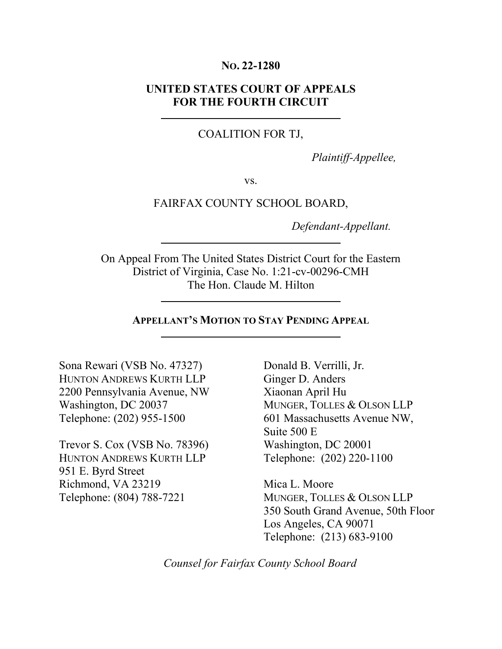#### **NO. 22-1280**

### **UNITED STATES COURT OF APPEALS FOR THE FOURTH CIRCUIT**

#### COALITION FOR TJ,

*Plaintiff-Appellee,*

vs.

#### FAIRFAX COUNTY SCHOOL BOARD,

 *Defendant-Appellant.*

On Appeal From The United States District Court for the Eastern District of Virginia, Case No. 1:21-cv-00296-CMH The Hon. Claude M. Hilton

#### **APPELLANT'S MOTION TO STAY PENDING APPEAL**

Sona Rewari (VSB No. 47327) HUNTON ANDREWS KURTH LLP 2200 Pennsylvania Avenue, NW Washington, DC 20037 Telephone: (202) 955-1500

Trevor S. Cox (VSB No. 78396) HUNTON ANDREWS KURTH LLP 951 E. Byrd Street Richmond, VA 23219 Telephone: (804) 788-7221

Donald B. Verrilli, Jr. Ginger D. Anders Xiaonan April Hu MUNGER, TOLLES & OLSON LLP 601 Massachusetts Avenue NW, Suite 500 E Washington, DC 20001 Telephone: (202) 220-1100

Mica L. Moore MUNGER, TOLLES & OLSON LLP 350 South Grand Avenue, 50th Floor Los Angeles, CA 90071 Telephone: (213) 683-9100

*Counsel for Fairfax County School Board*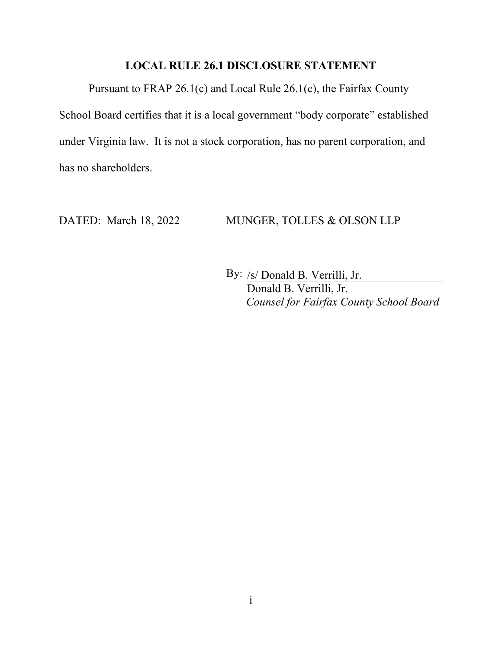## **LOCAL RULE 26.1 DISCLOSURE STATEMENT**

<span id="page-1-0"></span>Pursuant to FRAP 26.1(c) and Local Rule 26.1(c), the Fairfax County School Board certifies that it is a local government "body corporate" established under Virginia law. It is not a stock corporation, has no parent corporation, and has no shareholders.

#### DATED: March 18, 2022 MUNGER, TOLLES & OLSON LLP

By: /s/ Donald B. Verrilli, Jr. Donald B. Verrilli, Jr. *Counsel for Fairfax County School Board*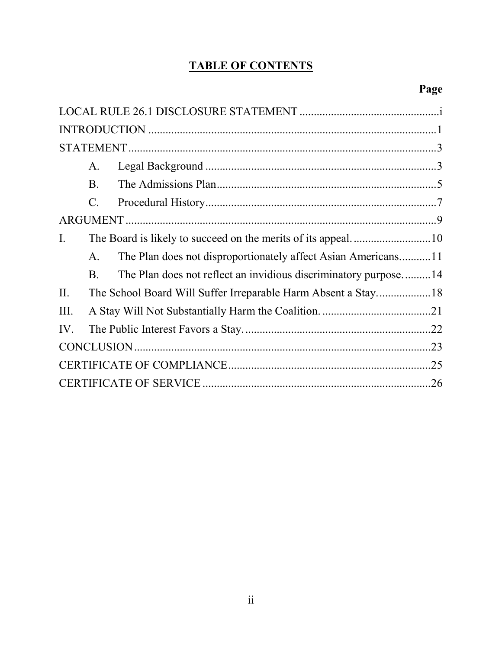# **TABLE OF CONTENTS**

|                | A.                                                            |                                                                 |  |  |
|----------------|---------------------------------------------------------------|-----------------------------------------------------------------|--|--|
|                | <b>B.</b>                                                     |                                                                 |  |  |
|                | C.                                                            |                                                                 |  |  |
|                |                                                               |                                                                 |  |  |
| $\mathbf{I}$ . |                                                               | The Board is likely to succeed on the merits of its appeal10    |  |  |
|                | A.                                                            | The Plan does not disproportionately affect Asian Americans11   |  |  |
|                | <b>B.</b>                                                     | The Plan does not reflect an invidious discriminatory purpose14 |  |  |
| II.            | The School Board Will Suffer Irreparable Harm Absent a Stay18 |                                                                 |  |  |
| III.           |                                                               |                                                                 |  |  |
| IV.            |                                                               |                                                                 |  |  |
|                |                                                               |                                                                 |  |  |
|                |                                                               |                                                                 |  |  |
|                |                                                               |                                                                 |  |  |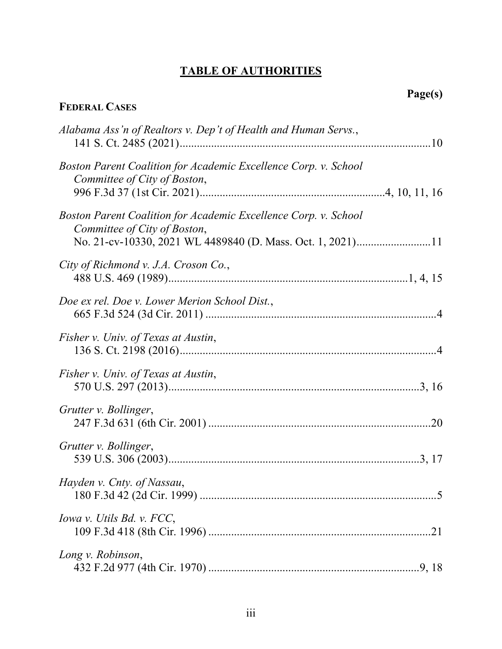# **TABLE OF AUTHORITIES**

# **FEDERAL CASES**

| Alabama Ass'n of Realtors v. Dep't of Health and Human Servs.,                                                                                                |
|---------------------------------------------------------------------------------------------------------------------------------------------------------------|
| Boston Parent Coalition for Academic Excellence Corp. v. School<br>Committee of City of Boston,                                                               |
| Boston Parent Coalition for Academic Excellence Corp. v. School<br>Committee of City of Boston,<br>No. 21-cv-10330, 2021 WL 4489840 (D. Mass. Oct. 1, 2021)11 |
| City of Richmond v. J.A. Croson Co.,                                                                                                                          |
| Doe ex rel. Doe v. Lower Merion School Dist.,                                                                                                                 |
| Fisher v. Univ. of Texas at Austin,                                                                                                                           |
| Fisher v. Univ. of Texas at Austin,                                                                                                                           |
| Grutter v. Bollinger,                                                                                                                                         |
| Grutter v. Bollinger,                                                                                                                                         |
| Hayden v. Cnty. of Nassau,                                                                                                                                    |
| Iowa v. Utils Bd. v. FCC,                                                                                                                                     |
| Long v. Robinson,                                                                                                                                             |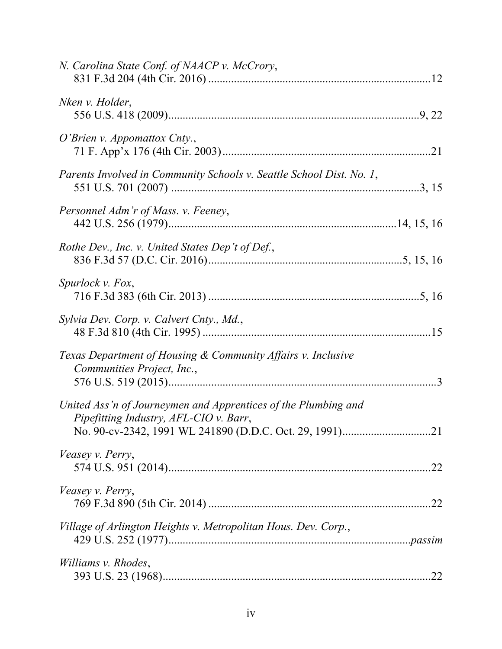| N. Carolina State Conf. of NAACP v. McCrory,                                                             |  |
|----------------------------------------------------------------------------------------------------------|--|
| Nken v. Holder,                                                                                          |  |
| $O'$ <i>Brien v. Appomattox Cnty.</i> ,                                                                  |  |
| Parents Involved in Community Schools v. Seattle School Dist. No. 1,                                     |  |
| Personnel Adm'r of Mass. v. Feeney,                                                                      |  |
| Rothe Dev., Inc. v. United States Dep't of Def.,                                                         |  |
| Spurlock v. Fox,                                                                                         |  |
| Sylvia Dev. Corp. v. Calvert Cnty., Md.,                                                                 |  |
| Texas Department of Housing & Community Affairs v. Inclusive<br>Communities Project, Inc.,               |  |
| United Ass'n of Journeymen and Apprentices of the Plumbing and<br>Pipefitting Industry, AFL-CIO v. Barr, |  |
| Veasey v. Perry,                                                                                         |  |
| Veasey v. Perry,                                                                                         |  |
| Village of Arlington Heights v. Metropolitan Hous. Dev. Corp.,                                           |  |
| Williams v. Rhodes,                                                                                      |  |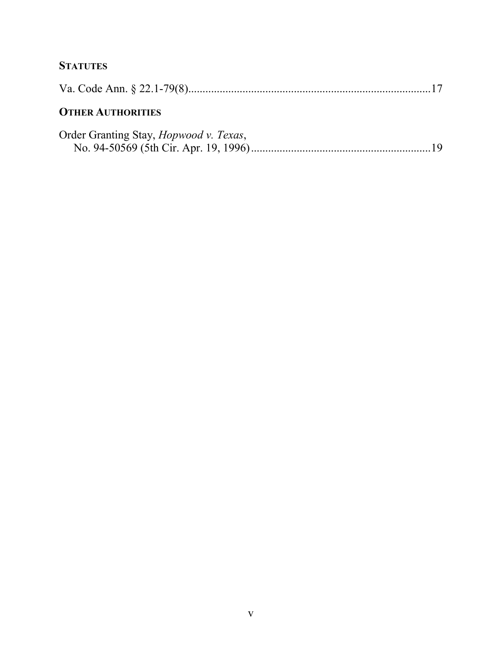# **STATUTES**

# **OTHER AUTHORITIES**

| Order Granting Stay, <i>Hopwood v. Texas</i> , |  |
|------------------------------------------------|--|
|                                                |  |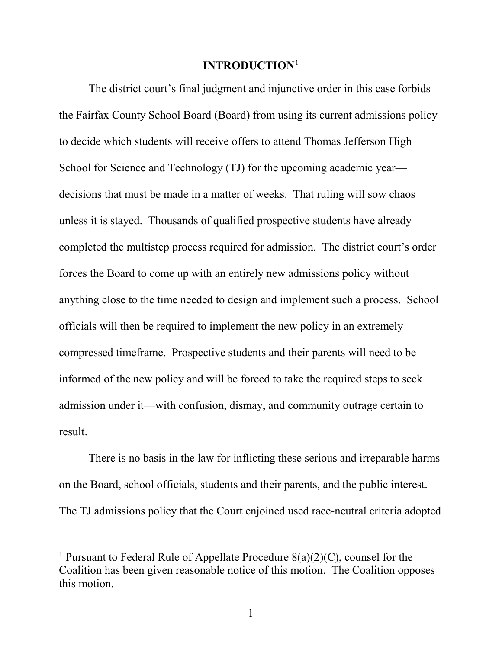## **INTRODUCTION**[1](#page-6-1)

<span id="page-6-0"></span>The district court's final judgment and injunctive order in this case forbids the Fairfax County School Board (Board) from using its current admissions policy to decide which students will receive offers to attend Thomas Jefferson High School for Science and Technology (TJ) for the upcoming academic year decisions that must be made in a matter of weeks. That ruling will sow chaos unless it is stayed. Thousands of qualified prospective students have already completed the multistep process required for admission. The district court's order forces the Board to come up with an entirely new admissions policy without anything close to the time needed to design and implement such a process. School officials will then be required to implement the new policy in an extremely compressed timeframe. Prospective students and their parents will need to be informed of the new policy and will be forced to take the required steps to seek admission under it—with confusion, dismay, and community outrage certain to result.

There is no basis in the law for inflicting these serious and irreparable harms on the Board, school officials, students and their parents, and the public interest. The TJ admissions policy that the Court enjoined used race-neutral criteria adopted

<span id="page-6-1"></span><sup>&</sup>lt;sup>1</sup> Pursuant to Federal Rule of Appellate Procedure  $8(a)(2)(C)$ , counsel for the Coalition has been given reasonable notice of this motion. The Coalition opposes this motion.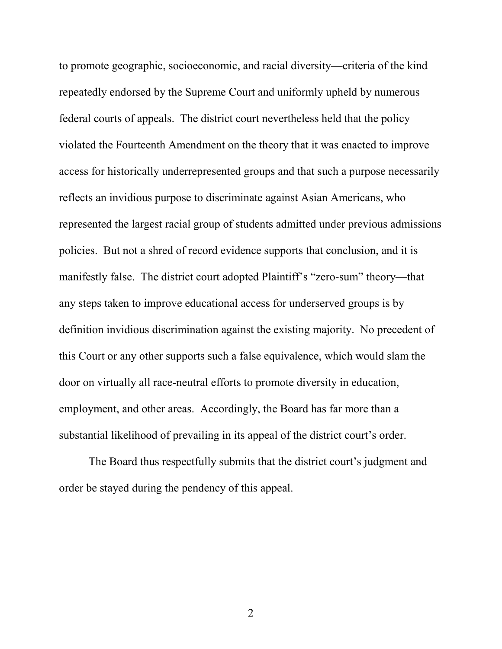to promote geographic, socioeconomic, and racial diversity—criteria of the kind repeatedly endorsed by the Supreme Court and uniformly upheld by numerous federal courts of appeals. The district court nevertheless held that the policy violated the Fourteenth Amendment on the theory that it was enacted to improve access for historically underrepresented groups and that such a purpose necessarily reflects an invidious purpose to discriminate against Asian Americans, who represented the largest racial group of students admitted under previous admissions policies. But not a shred of record evidence supports that conclusion, and it is manifestly false. The district court adopted Plaintiff's "zero-sum" theory—that any steps taken to improve educational access for underserved groups is by definition invidious discrimination against the existing majority. No precedent of this Court or any other supports such a false equivalence, which would slam the door on virtually all race-neutral efforts to promote diversity in education, employment, and other areas. Accordingly, the Board has far more than a substantial likelihood of prevailing in its appeal of the district court's order.

The Board thus respectfully submits that the district court's judgment and order be stayed during the pendency of this appeal.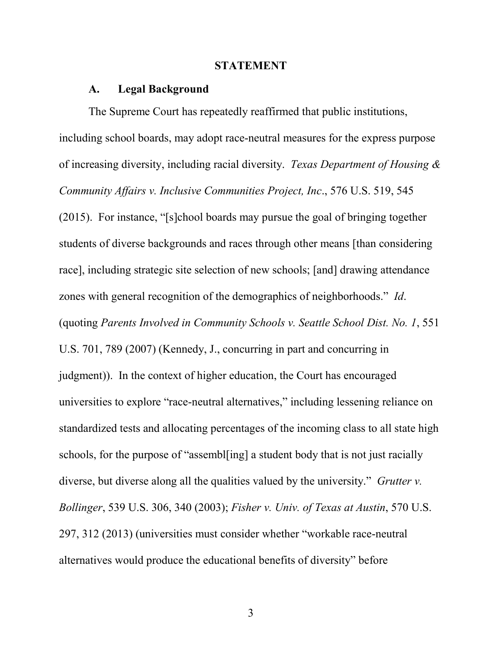#### **STATEMENT**

#### <span id="page-8-0"></span>**A. Legal Background**

<span id="page-8-1"></span>The Supreme Court has repeatedly reaffirmed that public institutions, including school boards, may adopt race-neutral measures for the express purpose of increasing diversity, including racial diversity. *Texas Department of Housing & Community Affairs v. Inclusive Communities Project, Inc*., 576 U.S. 519, 545 (2015). For instance, "[s]chool boards may pursue the goal of bringing together students of diverse backgrounds and races through other means [than considering race], including strategic site selection of new schools; [and] drawing attendance zones with general recognition of the demographics of neighborhoods." *Id*. (quoting *Parents Involved in Community Schools v. Seattle School Dist. No. 1*, 551 U.S. 701, 789 (2007) (Kennedy, J., concurring in part and concurring in judgment)). In the context of higher education, the Court has encouraged universities to explore "race-neutral alternatives," including lessening reliance on standardized tests and allocating percentages of the incoming class to all state high schools, for the purpose of "assembl[ing] a student body that is not just racially diverse, but diverse along all the qualities valued by the university." *Grutter v. Bollinger*, 539 U.S. 306, 340 (2003); *Fisher v. Univ. of Texas at Austin*, 570 U.S. 297, 312 (2013) (universities must consider whether "workable race-neutral alternatives would produce the educational benefits of diversity" before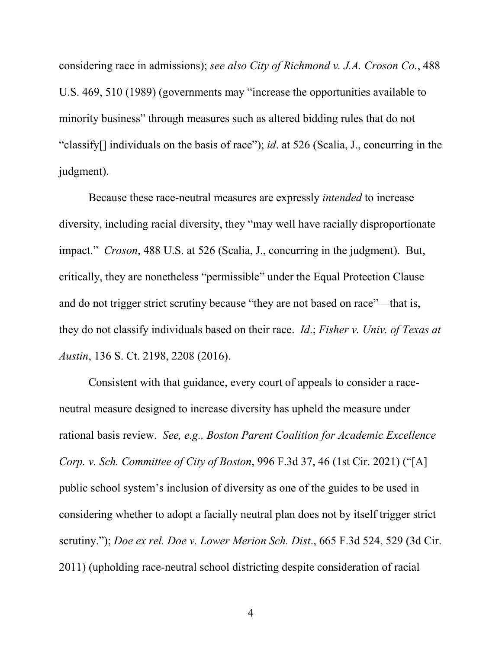considering race in admissions); *see also City of Richmond v. J.A. Croson Co.*, 488 U.S. 469, 510 (1989) (governments may "increase the opportunities available to minority business" through measures such as altered bidding rules that do not "classify[] individuals on the basis of race"); *id*. at 526 (Scalia, J., concurring in the judgment).

Because these race-neutral measures are expressly *intended* to increase diversity, including racial diversity, they "may well have racially disproportionate impact." *Croson*, 488 U.S. at 526 (Scalia, J., concurring in the judgment). But, critically, they are nonetheless "permissible" under the Equal Protection Clause and do not trigger strict scrutiny because "they are not based on race"—that is, they do not classify individuals based on their race. *Id*.; *Fisher v. Univ. of Texas at Austin*, 136 S. Ct. 2198, 2208 (2016).

Consistent with that guidance, every court of appeals to consider a raceneutral measure designed to increase diversity has upheld the measure under rational basis review. *See, e.g., Boston Parent Coalition for Academic Excellence Corp. v. Sch. Committee of City of Boston*, 996 F.3d 37, 46 (1st Cir. 2021) ("[A] public school system's inclusion of diversity as one of the guides to be used in considering whether to adopt a facially neutral plan does not by itself trigger strict scrutiny."); *Doe ex rel. Doe v. Lower Merion Sch. Dist*., 665 F.3d 524, 529 (3d Cir. 2011) (upholding race-neutral school districting despite consideration of racial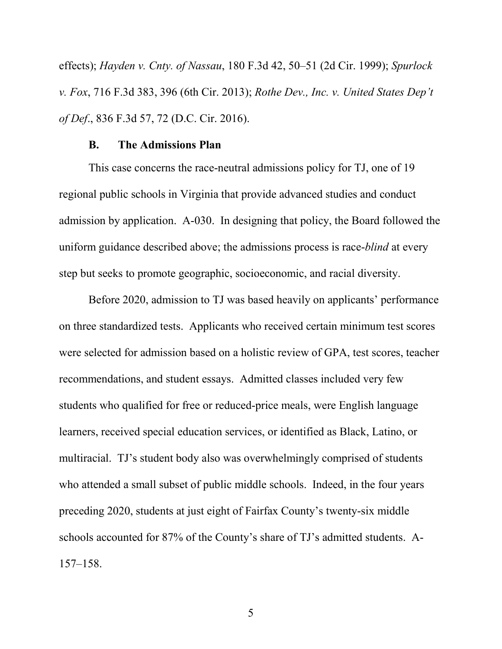effects); *Hayden v. Cnty. of Nassau*, 180 F.3d 42, 50–51 (2d Cir. 1999); *Spurlock v. Fox*, 716 F.3d 383, 396 (6th Cir. 2013); *Rothe Dev., Inc. v. United States Dep't of Def*., 836 F.3d 57, 72 (D.C. Cir. 2016).

#### **B. The Admissions Plan**

<span id="page-10-0"></span>This case concerns the race-neutral admissions policy for TJ, one of 19 regional public schools in Virginia that provide advanced studies and conduct admission by application. A-030. In designing that policy, the Board followed the uniform guidance described above; the admissions process is race-*blind* at every step but seeks to promote geographic, socioeconomic, and racial diversity.

Before 2020, admission to TJ was based heavily on applicants' performance on three standardized tests. Applicants who received certain minimum test scores were selected for admission based on a holistic review of GPA, test scores, teacher recommendations, and student essays. Admitted classes included very few students who qualified for free or reduced-price meals, were English language learners, received special education services, or identified as Black, Latino, or multiracial. TJ's student body also was overwhelmingly comprised of students who attended a small subset of public middle schools. Indeed, in the four years preceding 2020, students at just eight of Fairfax County's twenty-six middle schools accounted for 87% of the County's share of TJ's admitted students. A-157–158.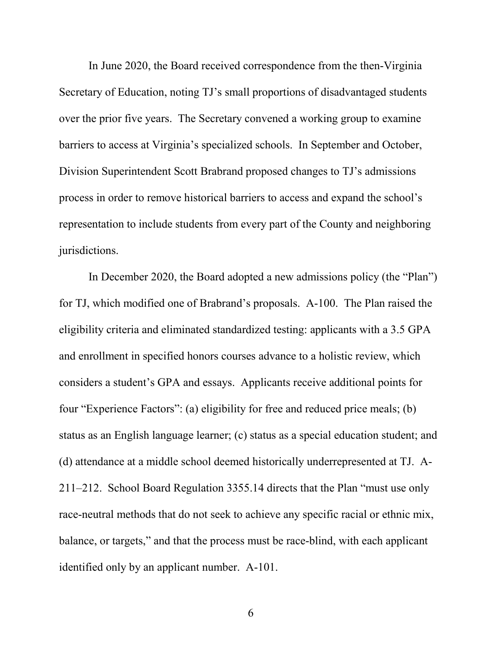In June 2020, the Board received correspondence from the then-Virginia Secretary of Education, noting TJ's small proportions of disadvantaged students over the prior five years. The Secretary convened a working group to examine barriers to access at Virginia's specialized schools. In September and October, Division Superintendent Scott Brabrand proposed changes to TJ's admissions process in order to remove historical barriers to access and expand the school's representation to include students from every part of the County and neighboring jurisdictions.

In December 2020, the Board adopted a new admissions policy (the "Plan") for TJ, which modified one of Brabrand's proposals. A-100. The Plan raised the eligibility criteria and eliminated standardized testing: applicants with a 3.5 GPA and enrollment in specified honors courses advance to a holistic review, which considers a student's GPA and essays. Applicants receive additional points for four "Experience Factors": (a) eligibility for free and reduced price meals; (b) status as an English language learner; (c) status as a special education student; and (d) attendance at a middle school deemed historically underrepresented at TJ. A-211–212. School Board Regulation 3355.14 directs that the Plan "must use only race-neutral methods that do not seek to achieve any specific racial or ethnic mix, balance, or targets," and that the process must be race-blind, with each applicant identified only by an applicant number. A-101.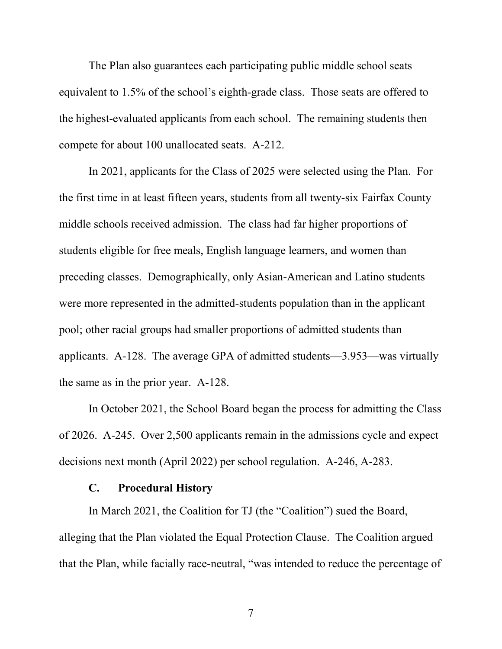The Plan also guarantees each participating public middle school seats equivalent to 1.5% of the school's eighth-grade class. Those seats are offered to the highest-evaluated applicants from each school. The remaining students then compete for about 100 unallocated seats. A-212.

In 2021, applicants for the Class of 2025 were selected using the Plan. For the first time in at least fifteen years, students from all twenty-six Fairfax County middle schools received admission. The class had far higher proportions of students eligible for free meals, English language learners, and women than preceding classes. Demographically, only Asian-American and Latino students were more represented in the admitted-students population than in the applicant pool; other racial groups had smaller proportions of admitted students than applicants. A-128. The average GPA of admitted students—3.953—was virtually the same as in the prior year. A-128.

In October 2021, the School Board began the process for admitting the Class of 2026. A-245. Over 2,500 applicants remain in the admissions cycle and expect decisions next month (April 2022) per school regulation. A-246, A-283.

#### **C. Procedural History**

<span id="page-12-0"></span>In March 2021, the Coalition for TJ (the "Coalition") sued the Board, alleging that the Plan violated the Equal Protection Clause. The Coalition argued that the Plan, while facially race-neutral, "was intended to reduce the percentage of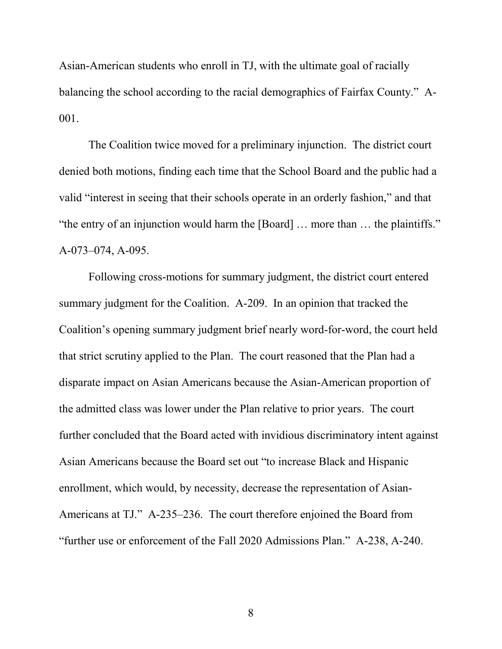Asian-American students who enroll in TJ, with the ultimate goal of racially balancing the school according to the racial demographics of Fairfax County." A-001.

The Coalition twice moved for a preliminary injunction. The district court denied both motions, finding each time that the School Board and the public had a valid "interest in seeing that their schools operate in an orderly fashion," and that "the entry of an injunction would harm the [Board] … more than … the plaintiffs." A-073–074, A-095.

Following cross-motions for summary judgment, the district court entered summary judgment for the Coalition. A-209. In an opinion that tracked the Coalition's opening summary judgment brief nearly word-for-word, the court held that strict scrutiny applied to the Plan. The court reasoned that the Plan had a disparate impact on Asian Americans because the Asian-American proportion of the admitted class was lower under the Plan relative to prior years. The court further concluded that the Board acted with invidious discriminatory intent against Asian Americans because the Board set out "to increase Black and Hispanic enrollment, which would, by necessity, decrease the representation of Asian-Americans at TJ." A-235–236. The court therefore enjoined the Board from "further use or enforcement of the Fall 2020 Admissions Plan." A-238, A-240.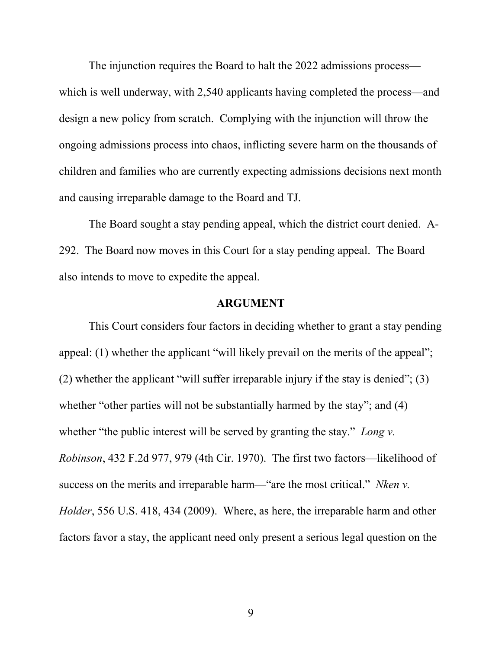The injunction requires the Board to halt the 2022 admissions process which is well underway, with 2,540 applicants having completed the process—and design a new policy from scratch. Complying with the injunction will throw the ongoing admissions process into chaos, inflicting severe harm on the thousands of children and families who are currently expecting admissions decisions next month and causing irreparable damage to the Board and TJ.

The Board sought a stay pending appeal, which the district court denied. A-292. The Board now moves in this Court for a stay pending appeal. The Board also intends to move to expedite the appeal.

#### **ARGUMENT**

<span id="page-14-0"></span>This Court considers four factors in deciding whether to grant a stay pending appeal: (1) whether the applicant "will likely prevail on the merits of the appeal"; (2) whether the applicant "will suffer irreparable injury if the stay is denied"; (3) whether "other parties will not be substantially harmed by the stay"; and (4) whether "the public interest will be served by granting the stay." *Long v. Robinson*, 432 F.2d 977, 979 (4th Cir. 1970). The first two factors—likelihood of success on the merits and irreparable harm—"are the most critical." *Nken v. Holder*, 556 U.S. 418, 434 (2009). Where, as here, the irreparable harm and other factors favor a stay, the applicant need only present a serious legal question on the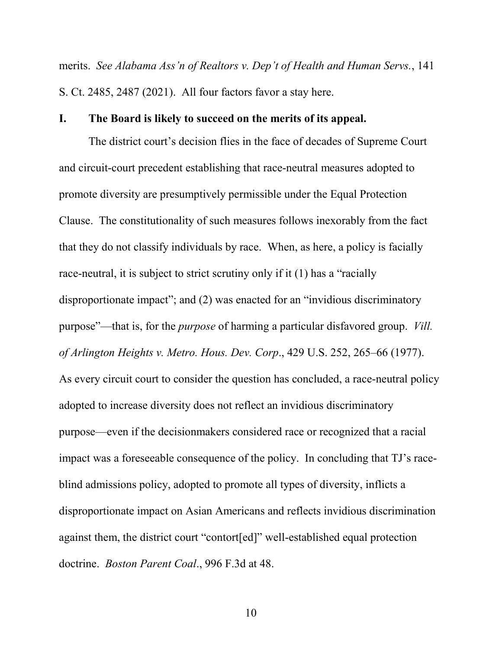merits. *See Alabama Ass'n of Realtors v. Dep't of Health and Human Servs.*, 141 S. Ct. 2485, 2487 (2021). All four factors favor a stay here.

#### <span id="page-15-0"></span>**I. The Board is likely to succeed on the merits of its appeal.**

The district court's decision flies in the face of decades of Supreme Court and circuit-court precedent establishing that race-neutral measures adopted to promote diversity are presumptively permissible under the Equal Protection Clause. The constitutionality of such measures follows inexorably from the fact that they do not classify individuals by race. When, as here, a policy is facially race-neutral, it is subject to strict scrutiny only if it (1) has a "racially disproportionate impact"; and (2) was enacted for an "invidious discriminatory purpose"—that is, for the *purpose* of harming a particular disfavored group. *Vill. of Arlington Heights v. Metro. Hous. Dev. Corp*., 429 U.S. 252, 265–66 (1977). As every circuit court to consider the question has concluded, a race-neutral policy adopted to increase diversity does not reflect an invidious discriminatory purpose—even if the decisionmakers considered race or recognized that a racial impact was a foreseeable consequence of the policy. In concluding that TJ's raceblind admissions policy, adopted to promote all types of diversity, inflicts a disproportionate impact on Asian Americans and reflects invidious discrimination against them, the district court "contort[ed]" well-established equal protection doctrine. *Boston Parent Coal*., 996 F.3d at 48.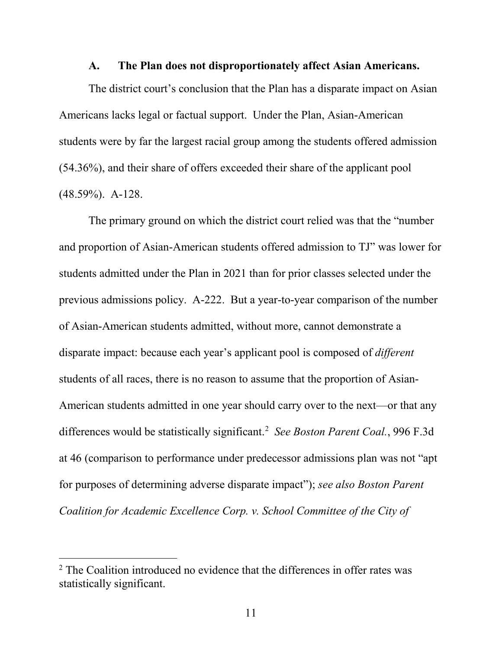#### **A. The Plan does not disproportionately affect Asian Americans.**

<span id="page-16-0"></span>The district court's conclusion that the Plan has a disparate impact on Asian Americans lacks legal or factual support. Under the Plan, Asian-American students were by far the largest racial group among the students offered admission (54.36%), and their share of offers exceeded their share of the applicant pool (48.59%). A-128.

The primary ground on which the district court relied was that the "number and proportion of Asian-American students offered admission to TJ" was lower for students admitted under the Plan in 2021 than for prior classes selected under the previous admissions policy. A-222. But a year-to-year comparison of the number of Asian-American students admitted, without more, cannot demonstrate a disparate impact: because each year's applicant pool is composed of *different* students of all races, there is no reason to assume that the proportion of Asian-American students admitted in one year should carry over to the next—or that any differences would be statistically significant. [2](#page-16-1) *See Boston Parent Coal.*, 996 F.3d at 46 (comparison to performance under predecessor admissions plan was not "apt for purposes of determining adverse disparate impact"); *see also Boston Parent Coalition for Academic Excellence Corp. v. School Committee of the City of* 

<span id="page-16-1"></span><sup>&</sup>lt;sup>2</sup> The Coalition introduced no evidence that the differences in offer rates was statistically significant.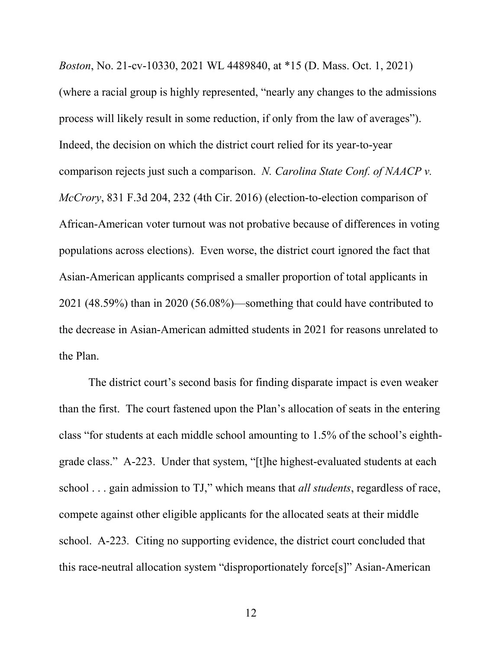*Boston*, No. 21-cv-10330, 2021 WL 4489840, at \*15 (D. Mass. Oct. 1, 2021) (where a racial group is highly represented, "nearly any changes to the admissions process will likely result in some reduction, if only from the law of averages"). Indeed, the decision on which the district court relied for its year-to-year comparison rejects just such a comparison. *N. Carolina State Conf. of NAACP v. McCrory*, 831 F.3d 204, 232 (4th Cir. 2016) (election-to-election comparison of African-American voter turnout was not probative because of differences in voting populations across elections). Even worse, the district court ignored the fact that Asian-American applicants comprised a smaller proportion of total applicants in 2021 (48.59%) than in 2020 (56.08%)—something that could have contributed to the decrease in Asian-American admitted students in 2021 for reasons unrelated to the Plan.

The district court's second basis for finding disparate impact is even weaker than the first. The court fastened upon the Plan's allocation of seats in the entering class "for students at each middle school amounting to 1.5% of the school's eighthgrade class." A-223. Under that system, "[t]he highest-evaluated students at each school . . . gain admission to TJ," which means that *all students*, regardless of race, compete against other eligible applicants for the allocated seats at their middle school. A-223*.* Citing no supporting evidence, the district court concluded that this race-neutral allocation system "disproportionately force[s]" Asian-American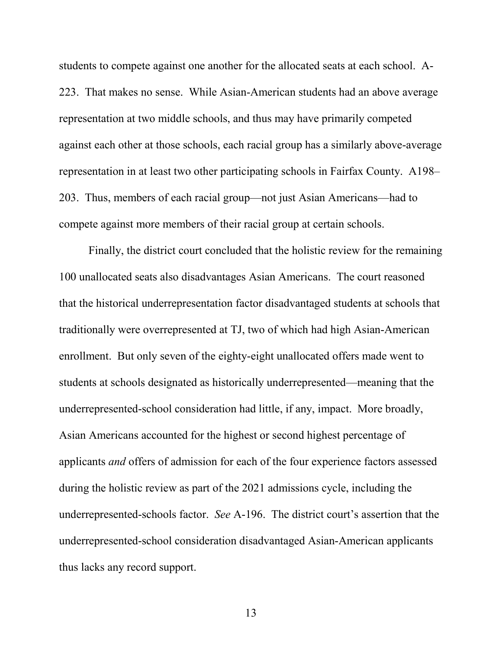students to compete against one another for the allocated seats at each school. A-223. That makes no sense. While Asian-American students had an above average representation at two middle schools, and thus may have primarily competed against each other at those schools, each racial group has a similarly above-average representation in at least two other participating schools in Fairfax County. A198– 203. Thus, members of each racial group—not just Asian Americans—had to compete against more members of their racial group at certain schools.

Finally, the district court concluded that the holistic review for the remaining 100 unallocated seats also disadvantages Asian Americans. The court reasoned that the historical underrepresentation factor disadvantaged students at schools that traditionally were overrepresented at TJ, two of which had high Asian-American enrollment. But only seven of the eighty-eight unallocated offers made went to students at schools designated as historically underrepresented—meaning that the underrepresented-school consideration had little, if any, impact. More broadly, Asian Americans accounted for the highest or second highest percentage of applicants *and* offers of admission for each of the four experience factors assessed during the holistic review as part of the 2021 admissions cycle, including the underrepresented-schools factor. *See* A-196. The district court's assertion that the underrepresented-school consideration disadvantaged Asian-American applicants thus lacks any record support.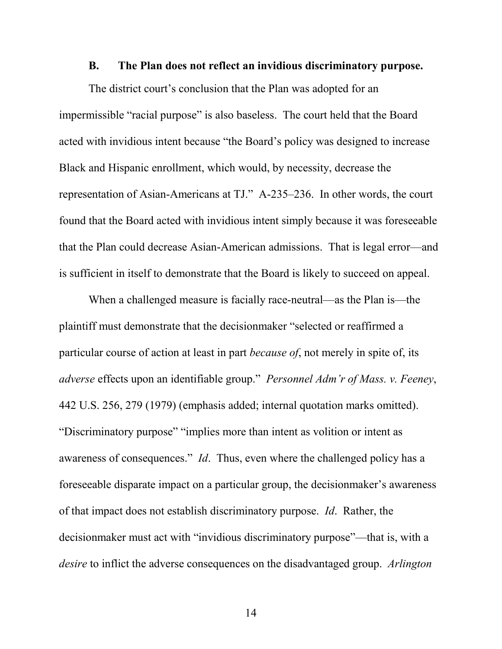#### **B. The Plan does not reflect an invidious discriminatory purpose.**

<span id="page-19-0"></span>The district court's conclusion that the Plan was adopted for an impermissible "racial purpose" is also baseless. The court held that the Board acted with invidious intent because "the Board's policy was designed to increase Black and Hispanic enrollment, which would, by necessity, decrease the representation of Asian-Americans at TJ." A-235–236. In other words, the court found that the Board acted with invidious intent simply because it was foreseeable that the Plan could decrease Asian-American admissions. That is legal error—and is sufficient in itself to demonstrate that the Board is likely to succeed on appeal.

When a challenged measure is facially race-neutral—as the Plan is—the plaintiff must demonstrate that the decisionmaker "selected or reaffirmed a particular course of action at least in part *because of*, not merely in spite of, its *adverse* effects upon an identifiable group." *Personnel Adm'r of Mass. v. Feeney*, 442 U.S. 256, 279 (1979) (emphasis added; internal quotation marks omitted). "Discriminatory purpose" "implies more than intent as volition or intent as awareness of consequences." *Id*. Thus, even where the challenged policy has a foreseeable disparate impact on a particular group, the decisionmaker's awareness of that impact does not establish discriminatory purpose. *Id*. Rather, the decisionmaker must act with "invidious discriminatory purpose"—that is, with a *desire* to inflict the adverse consequences on the disadvantaged group. *Arlington*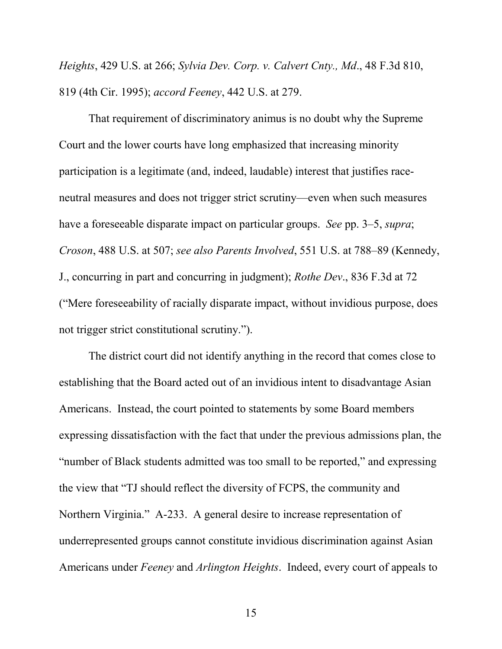*Heights*, 429 U.S. at 266; *Sylvia Dev. Corp. v. Calvert Cnty., Md*., 48 F.3d 810, 819 (4th Cir. 1995); *accord Feeney*, 442 U.S. at 279.

That requirement of discriminatory animus is no doubt why the Supreme Court and the lower courts have long emphasized that increasing minority participation is a legitimate (and, indeed, laudable) interest that justifies raceneutral measures and does not trigger strict scrutiny—even when such measures have a foreseeable disparate impact on particular groups. *See* pp. 3–5, *supra*; *Croson*, 488 U.S. at 507; *see also Parents Involved*, 551 U.S. at 788–89 (Kennedy, J., concurring in part and concurring in judgment); *Rothe Dev*., 836 F.3d at 72 ("Mere foreseeability of racially disparate impact, without invidious purpose, does not trigger strict constitutional scrutiny.").

The district court did not identify anything in the record that comes close to establishing that the Board acted out of an invidious intent to disadvantage Asian Americans. Instead, the court pointed to statements by some Board members expressing dissatisfaction with the fact that under the previous admissions plan, the "number of Black students admitted was too small to be reported," and expressing the view that "TJ should reflect the diversity of FCPS, the community and Northern Virginia." A-233. A general desire to increase representation of underrepresented groups cannot constitute invidious discrimination against Asian Americans under *Feeney* and *Arlington Heights*. Indeed, every court of appeals to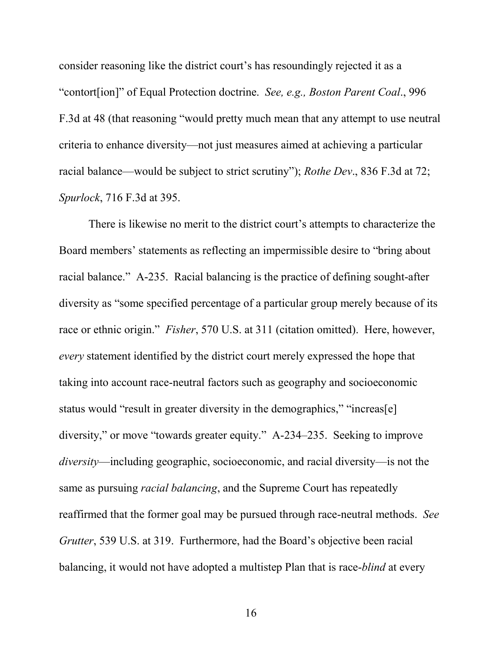consider reasoning like the district court's has resoundingly rejected it as a "contort[ion]" of Equal Protection doctrine. *See, e.g., Boston Parent Coal*., 996 F.3d at 48 (that reasoning "would pretty much mean that any attempt to use neutral criteria to enhance diversity—not just measures aimed at achieving a particular racial balance—would be subject to strict scrutiny"); *Rothe Dev*., 836 F.3d at 72; *Spurlock*, 716 F.3d at 395.

There is likewise no merit to the district court's attempts to characterize the Board members' statements as reflecting an impermissible desire to "bring about racial balance." A-235. Racial balancing is the practice of defining sought-after diversity as "some specified percentage of a particular group merely because of its race or ethnic origin." *Fisher*, 570 U.S. at 311 (citation omitted). Here, however, *every* statement identified by the district court merely expressed the hope that taking into account race-neutral factors such as geography and socioeconomic status would "result in greater diversity in the demographics," "increas[e] diversity," or move "towards greater equity." A-234–235. Seeking to improve *diversity*—including geographic, socioeconomic, and racial diversity—is not the same as pursuing *racial balancing*, and the Supreme Court has repeatedly reaffirmed that the former goal may be pursued through race-neutral methods. *See Grutter*, 539 U.S. at 319. Furthermore, had the Board's objective been racial balancing, it would not have adopted a multistep Plan that is race-*blind* at every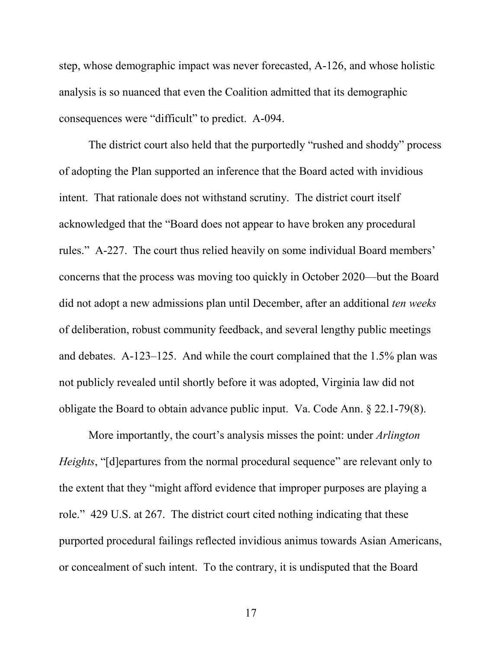step, whose demographic impact was never forecasted, A-126, and whose holistic analysis is so nuanced that even the Coalition admitted that its demographic consequences were "difficult" to predict. A-094.

The district court also held that the purportedly "rushed and shoddy" process of adopting the Plan supported an inference that the Board acted with invidious intent. That rationale does not withstand scrutiny. The district court itself acknowledged that the "Board does not appear to have broken any procedural rules." A-227. The court thus relied heavily on some individual Board members' concerns that the process was moving too quickly in October 2020—but the Board did not adopt a new admissions plan until December, after an additional *ten weeks* of deliberation, robust community feedback, and several lengthy public meetings and debates. A-123–125. And while the court complained that the 1.5% plan was not publicly revealed until shortly before it was adopted, Virginia law did not obligate the Board to obtain advance public input. Va. Code Ann. § 22.1-79(8).

More importantly, the court's analysis misses the point: under *Arlington Heights*, "[d]epartures from the normal procedural sequence" are relevant only to the extent that they "might afford evidence that improper purposes are playing a role." 429 U.S. at 267. The district court cited nothing indicating that these purported procedural failings reflected invidious animus towards Asian Americans, or concealment of such intent. To the contrary, it is undisputed that the Board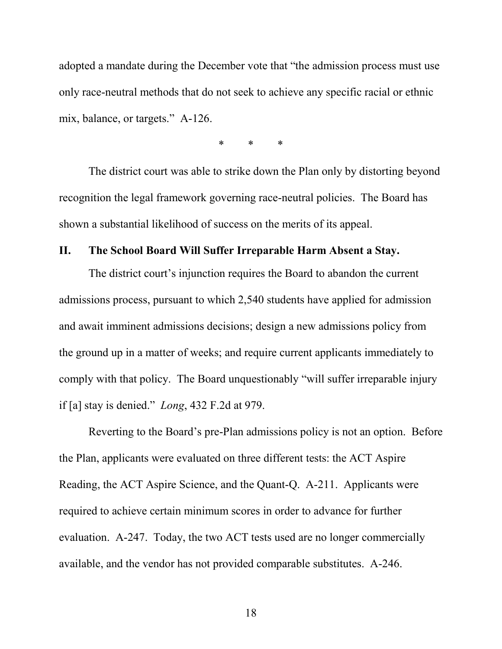adopted a mandate during the December vote that "the admission process must use only race-neutral methods that do not seek to achieve any specific racial or ethnic mix, balance, or targets." A-126.

\* \* \*

The district court was able to strike down the Plan only by distorting beyond recognition the legal framework governing race-neutral policies. The Board has shown a substantial likelihood of success on the merits of its appeal.

### <span id="page-23-0"></span>**II. The School Board Will Suffer Irreparable Harm Absent a Stay.**

The district court's injunction requires the Board to abandon the current admissions process, pursuant to which 2,540 students have applied for admission and await imminent admissions decisions; design a new admissions policy from the ground up in a matter of weeks; and require current applicants immediately to comply with that policy. The Board unquestionably "will suffer irreparable injury if [a] stay is denied." *Long*, 432 F.2d at 979.

Reverting to the Board's pre-Plan admissions policy is not an option. Before the Plan, applicants were evaluated on three different tests: the ACT Aspire Reading, the ACT Aspire Science, and the Quant-Q. A-211. Applicants were required to achieve certain minimum scores in order to advance for further evaluation. A-247. Today, the two ACT tests used are no longer commercially available, and the vendor has not provided comparable substitutes. A-246.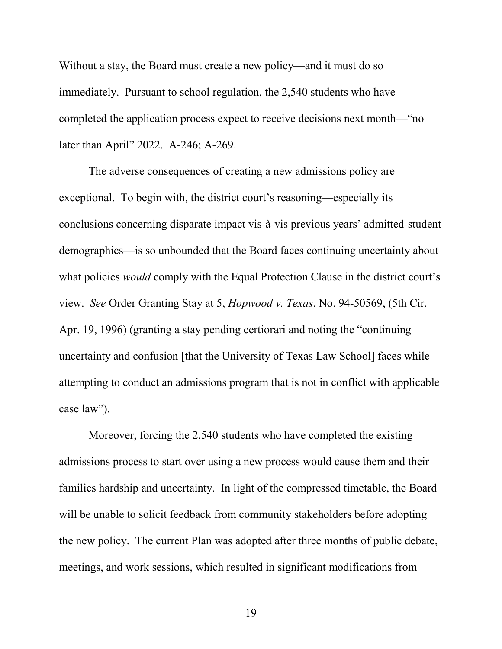Without a stay, the Board must create a new policy—and it must do so immediately. Pursuant to school regulation, the 2,540 students who have completed the application process expect to receive decisions next month—"no later than April" 2022. A-246; A-269.

The adverse consequences of creating a new admissions policy are exceptional. To begin with, the district court's reasoning—especially its conclusions concerning disparate impact vis-à-vis previous years' admitted-student demographics—is so unbounded that the Board faces continuing uncertainty about what policies *would* comply with the Equal Protection Clause in the district court's view. *See* Order Granting Stay at 5, *Hopwood v. Texas*, No. 94-50569, (5th Cir. Apr. 19, 1996) (granting a stay pending certiorari and noting the "continuing uncertainty and confusion [that the University of Texas Law School] faces while attempting to conduct an admissions program that is not in conflict with applicable case law").

Moreover, forcing the 2,540 students who have completed the existing admissions process to start over using a new process would cause them and their families hardship and uncertainty. In light of the compressed timetable, the Board will be unable to solicit feedback from community stakeholders before adopting the new policy. The current Plan was adopted after three months of public debate, meetings, and work sessions, which resulted in significant modifications from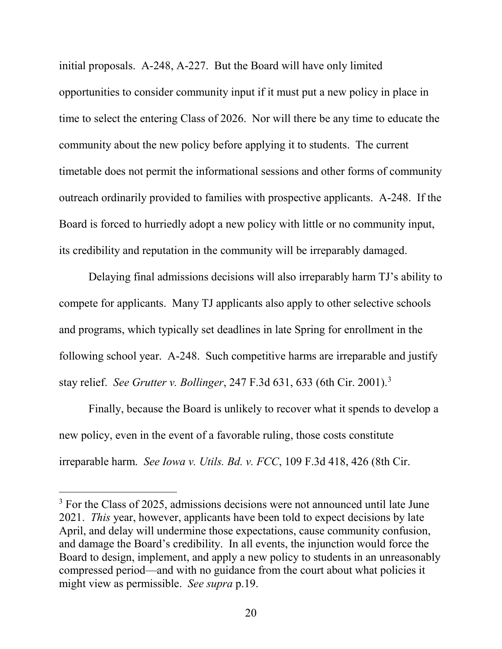initial proposals. A-248, A-227. But the Board will have only limited opportunities to consider community input if it must put a new policy in place in time to select the entering Class of 2026. Nor will there be any time to educate the community about the new policy before applying it to students. The current timetable does not permit the informational sessions and other forms of community outreach ordinarily provided to families with prospective applicants. A-248. If the Board is forced to hurriedly adopt a new policy with little or no community input, its credibility and reputation in the community will be irreparably damaged.

Delaying final admissions decisions will also irreparably harm TJ's ability to compete for applicants. Many TJ applicants also apply to other selective schools and programs, which typically set deadlines in late Spring for enrollment in the following school year. A-248. Such competitive harms are irreparable and justify stay relief. *See Grutter v. Bollinger*, 247 F.3d 631, 633 (6th Cir. 2001). [3](#page-25-0)

Finally, because the Board is unlikely to recover what it spends to develop a new policy, even in the event of a favorable ruling, those costs constitute irreparable harm. *See Iowa v. Utils. Bd. v. FCC*, 109 F.3d 418, 426 (8th Cir.

<span id="page-25-0"></span><sup>&</sup>lt;sup>3</sup> For the Class of 2025, admissions decisions were not announced until late June 2021. *This* year, however, applicants have been told to expect decisions by late April, and delay will undermine those expectations, cause community confusion, and damage the Board's credibility. In all events, the injunction would force the Board to design, implement, and apply a new policy to students in an unreasonably compressed period—and with no guidance from the court about what policies it might view as permissible. *See supra* p.19.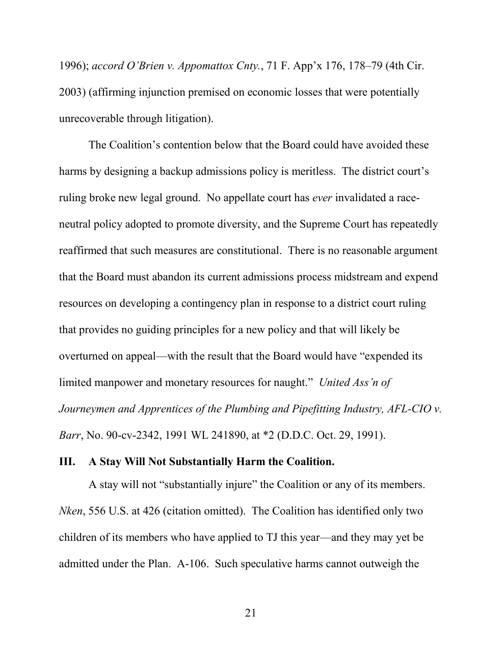1996); *accord O'Brien v. Appomattox Cnty.*, 71 F. App'x 176, 178–79 (4th Cir. 2003) (affirming injunction premised on economic losses that were potentially unrecoverable through litigation).

The Coalition's contention below that the Board could have avoided these harms by designing a backup admissions policy is meritless. The district court's ruling broke new legal ground. No appellate court has *ever* invalidated a raceneutral policy adopted to promote diversity, and the Supreme Court has repeatedly reaffirmed that such measures are constitutional. There is no reasonable argument that the Board must abandon its current admissions process midstream and expend resources on developing a contingency plan in response to a district court ruling that provides no guiding principles for a new policy and that will likely be overturned on appeal—with the result that the Board would have "expended its limited manpower and monetary resources for naught." *United Ass'n of Journeymen and Apprentices of the Plumbing and Pipefitting Industry, AFL-CIO v. Barr*, No. 90-cv-2342, 1991 WL 241890, at \*2 (D.D.C. Oct. 29, 1991).

#### <span id="page-26-0"></span>**III. A Stay Will Not Substantially Harm the Coalition.**

A stay will not "substantially injure" the Coalition or any of its members. *Nken*, 556 U.S. at 426 (citation omitted). The Coalition has identified only two children of its members who have applied to TJ this year—and they may yet be admitted under the Plan. A-106. Such speculative harms cannot outweigh the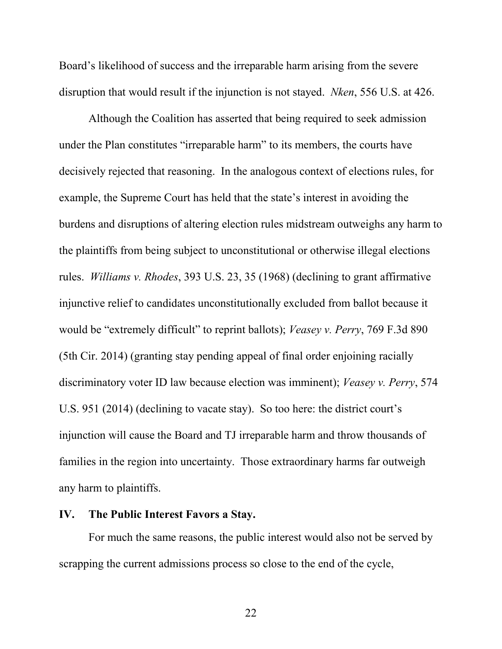Board's likelihood of success and the irreparable harm arising from the severe disruption that would result if the injunction is not stayed. *Nken*, 556 U.S. at 426.

Although the Coalition has asserted that being required to seek admission under the Plan constitutes "irreparable harm" to its members, the courts have decisively rejected that reasoning. In the analogous context of elections rules, for example, the Supreme Court has held that the state's interest in avoiding the burdens and disruptions of altering election rules midstream outweighs any harm to the plaintiffs from being subject to unconstitutional or otherwise illegal elections rules. *Williams v. Rhodes*, 393 U.S. 23, 35 (1968) (declining to grant affirmative injunctive relief to candidates unconstitutionally excluded from ballot because it would be "extremely difficult" to reprint ballots); *Veasey v. Perry*, 769 F.3d 890 (5th Cir. 2014) (granting stay pending appeal of final order enjoining racially discriminatory voter ID law because election was imminent); *Veasey v. Perry*, 574 U.S. 951 (2014) (declining to vacate stay). So too here: the district court's injunction will cause the Board and TJ irreparable harm and throw thousands of families in the region into uncertainty. Those extraordinary harms far outweigh any harm to plaintiffs.

#### <span id="page-27-0"></span>**IV. The Public Interest Favors a Stay.**

For much the same reasons, the public interest would also not be served by scrapping the current admissions process so close to the end of the cycle,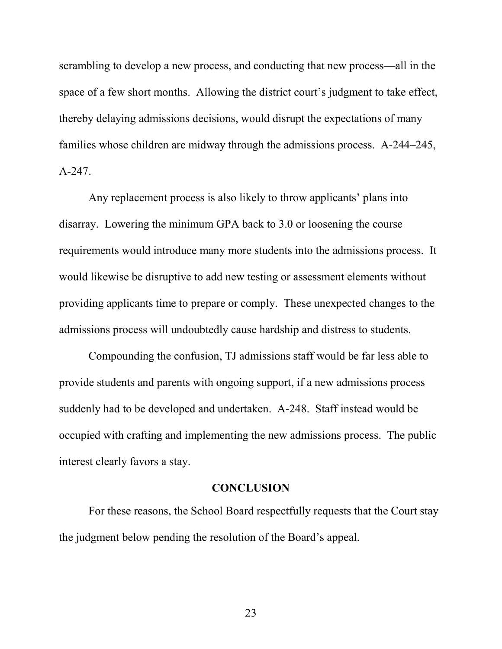scrambling to develop a new process, and conducting that new process—all in the space of a few short months. Allowing the district court's judgment to take effect, thereby delaying admissions decisions, would disrupt the expectations of many families whose children are midway through the admissions process. A-244–245, A-247.

Any replacement process is also likely to throw applicants' plans into disarray. Lowering the minimum GPA back to 3.0 or loosening the course requirements would introduce many more students into the admissions process. It would likewise be disruptive to add new testing or assessment elements without providing applicants time to prepare or comply. These unexpected changes to the admissions process will undoubtedly cause hardship and distress to students.

Compounding the confusion, TJ admissions staff would be far less able to provide students and parents with ongoing support, if a new admissions process suddenly had to be developed and undertaken. A-248. Staff instead would be occupied with crafting and implementing the new admissions process. The public interest clearly favors a stay.

#### **CONCLUSION**

<span id="page-28-0"></span>For these reasons, the School Board respectfully requests that the Court stay the judgment below pending the resolution of the Board's appeal.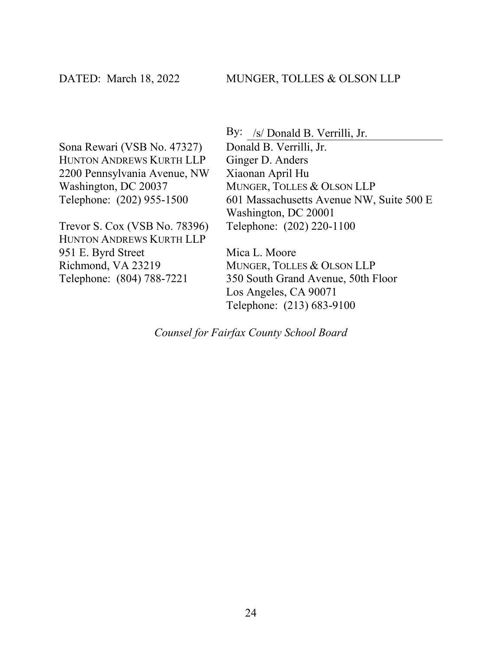Sona Rewari (VSB No. 47327) HUNTON ANDREWS KURTH LLP 2200 Pennsylvania Avenue, NW Washington, DC 20037 Telephone: (202) 955-1500

Trevor S. Cox (VSB No. 78396) HUNTON ANDREWS KURTH LLP 951 E. Byrd Street Richmond, VA 23219 Telephone: (804) 788-7221

By: /s/ Donald B. Verrilli, Jr. Donald B. Verrilli, Jr. Ginger D. Anders Xiaonan April Hu MUNGER, TOLLES & OLSON LLP 601 Massachusetts Avenue NW, Suite 500 E Washington, DC 20001 Telephone: (202) 220-1100

Mica L. Moore MUNGER, TOLLES & OLSON LLP 350 South Grand Avenue, 50th Floor Los Angeles, CA 90071 Telephone: (213) 683-9100

<span id="page-29-0"></span>*Counsel for Fairfax County School Board*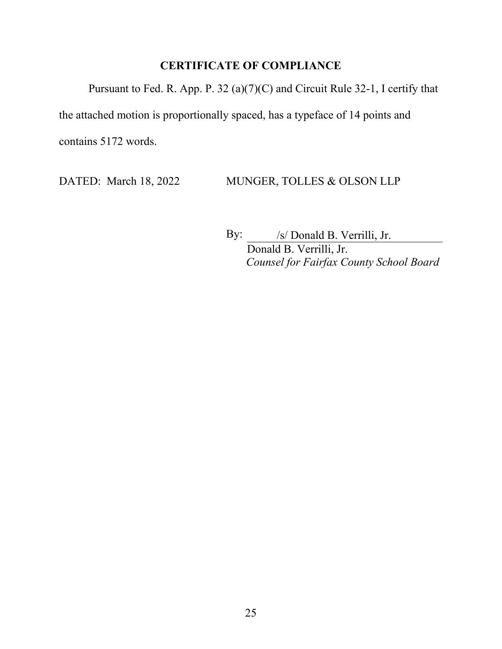# **CERTIFICATE OF COMPLIANCE**

Pursuant to Fed. R. App. P. 32 (a)(7)(C) and Circuit Rule 32-1, I certify that the attached motion is proportionally spaced, has a typeface of 14 points and contains 5172 words.

DATED: March 18, 2022 MUNGER, TOLLES & OLSON LLP

By:  $\frac{1}{s}$  /s/ Donald B. Verrilli, Jr. Donald B. Verrilli, Jr. *Counsel for Fairfax County School Board*